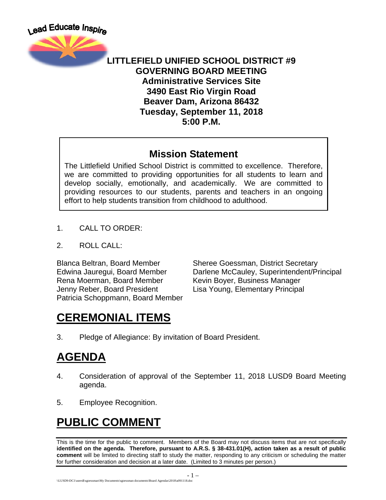

#### **LITTLEFIELD UNIFIED SCHOOL DISTRICT #9 GOVERNING BOARD MEETING Administrative Services Site 3490 East Rio Virgin Road Beaver Dam, Arizona 86432 Tuesday, September 11, 2018 5:00 P.M.**

#### **Mission Statement**

The Littlefield Unified School District is committed to excellence. Therefore, we are committed to providing opportunities for all students to learn and develop socially, emotionally, and academically. We are committed to providing resources to our students, parents and teachers in an ongoing effort to help students transition from childhood to adulthood.

- 1. CALL TO ORDER:
- 2. ROLL CALL:

Rena Moerman, Board Member Kevin Boyer, Business Manager Jenny Reber, Board President Lisa Young, Elementary Principal Patricia Schoppmann, Board Member

Blanca Beltran, Board Member Sheree Goessman, District Secretary Edwina Jauregui, Board Member Darlene McCauley, Superintendent/Principal

# **CEREMONIAL ITEMS**

3. Pledge of Allegiance: By invitation of Board President.

## **AGENDA**

- 4. Consideration of approval of the September 11, 2018 LUSD9 Board Meeting agenda.
- 5. Employee Recognition.

# **PUBLIC COMMENT**

This is the time for the public to comment. Members of the Board may not discuss items that are not specifically **identified on the agenda. Therefore, pursuant to A.R.S. § 38-431.01(H), action taken as a result of public comment** will be limited to directing staff to study the matter, responding to any criticism or scheduling the matter for further consideration and decision at a later date. (Limited to 3 minutes per person.)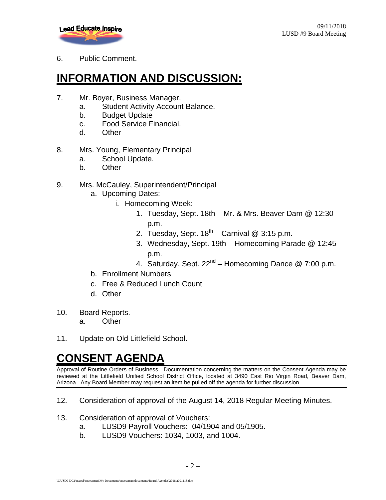

6. Public Comment.

# **INFORMATION AND DISCUSSION:**

- 7. Mr. Boyer, Business Manager.
	- a. Student Activity Account Balance.
	- b. Budget Update
	- c. Food Service Financial.
	- d. Other
- 8. Mrs. Young, Elementary Principal
	- a. School Update.
	- b. Other

#### 9. Mrs. McCauley, Superintendent/Principal

- a. Upcoming Dates:
	- i. Homecoming Week:
		- 1. Tuesday, Sept. 18th Mr. & Mrs. Beaver Dam @ 12:30 p.m.
		- 2. Tuesday, Sept.  $18^{th}$  Carnival @ 3:15 p.m.
		- 3. Wednesday, Sept. 19th Homecoming Parade @ 12:45 p.m.
		- 4. Saturday, Sept.  $22^{nd}$  Homecoming Dance  $@ 7:00$  p.m.
- b. Enrollment Numbers
- c. Free & Reduced Lunch Count
- d. Other
- 10. Board Reports.
	- a. Other
- 11. Update on Old Littlefield School.

## **CONSENT AGENDA**

Approval of Routine Orders of Business. Documentation concerning the matters on the Consent Agenda may be reviewed at the Littlefield Unified School District Office, located at 3490 East Rio Virgin Road, Beaver Dam, Arizona. Any Board Member may request an item be pulled off the agenda for further discussion.

- 12. Consideration of approval of the August 14, 2018 Regular Meeting Minutes.
- 13. Consideration of approval of Vouchers:
	- a. LUSD9 Payroll Vouchers: 04/1904 and 05/1905.
	- b. LUSD9 Vouchers: 1034, 1003, and 1004.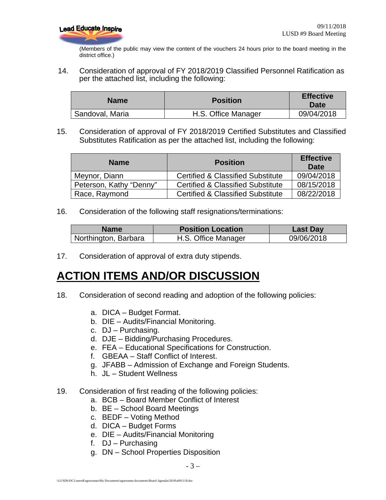

(Members of the public may view the content of the vouchers 24 hours prior to the board meeting in the district office.)

14. Consideration of approval of FY 2018/2019 Classified Personnel Ratification as per the attached list, including the following:

| <b>Name</b>     | <b>Position</b>     | <b>Effective</b><br><b>Date</b> |
|-----------------|---------------------|---------------------------------|
| Sandoval, Maria | H.S. Office Manager | 09/04/2018                      |

15. Consideration of approval of FY 2018/2019 Certified Substitutes and Classified Substitutes Ratification as per the attached list, including the following:

| <b>Name</b>             | <b>Position</b>                              | <b>Effective</b><br>Date |
|-------------------------|----------------------------------------------|--------------------------|
| Meynor, Diann           | <b>Certified &amp; Classified Substitute</b> | 09/04/2018               |
| Peterson, Kathy "Denny" | <b>Certified &amp; Classified Substitute</b> | 08/15/2018               |
| Race, Raymond           | <b>Certified &amp; Classified Substitute</b> | 08/22/2018               |

16. Consideration of the following staff resignations/terminations:

| <b>Name</b>          | <b>Position Location</b> | <b>Last Day</b> |
|----------------------|--------------------------|-----------------|
| Northington, Barbara | H.S. Office Manager      | 09/06/2018      |

17. Consideration of approval of extra duty stipends.

### **ACTION ITEMS AND/OR DISCUSSION**

- 18. Consideration of second reading and adoption of the following policies:
	- a. DICA Budget Format.
	- b. DIE Audits/Financial Monitoring.
	- c. DJ Purchasing.
	- d. DJE Bidding/Purchasing Procedures.
	- e. FEA Educational Specifications for Construction.
	- f. GBEAA Staff Conflict of Interest.
	- g. JFABB Admission of Exchange and Foreign Students.
	- h. JL Student Wellness
- 19. Consideration of first reading of the following policies:
	- a. BCB Board Member Conflict of Interest
	- b. BE School Board Meetings
	- c. BEDF Voting Method
	- d. DICA Budget Forms
	- e. DIE Audits/Financial Monitoring
	- f. DJ Purchasing
	- g. DN School Properties Disposition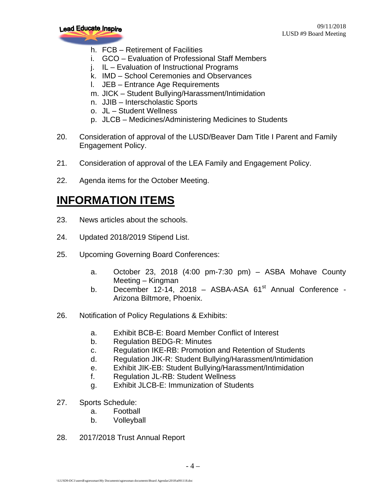

- h. FCB Retirement of Facilities
- i. GCO Evaluation of Professional Staff Members
- j. IL Evaluation of Instructional Programs
- k. IMD School Ceremonies and Observances
- l. JEB Entrance Age Requirements
- m. JICK Student Bullying/Harassment/Intimidation
- n. JJIB Interscholastic Sports
- o. JL Student Wellness
- p. JLCB Medicines/Administering Medicines to Students
- 20. Consideration of approval of the LUSD/Beaver Dam Title I Parent and Family Engagement Policy.
- 21. Consideration of approval of the LEA Family and Engagement Policy.
- 22. Agenda items for the October Meeting.

### **INFORMATION ITEMS**

- 23. News articles about the schools.
- 24. Updated 2018/2019 Stipend List.
- 25. Upcoming Governing Board Conferences:
	- a. October 23, 2018 (4:00 pm-7:30 pm) ASBA Mohave County Meeting – Kingman
	- b. December 12-14, 2018 ASBA-ASA  $61<sup>st</sup>$  Annual Conference -Arizona Biltmore, Phoenix.
- 26. Notification of Policy Regulations & Exhibits:
	- a. Exhibit BCB-E: Board Member Conflict of Interest
	- b. Regulation BEDG-R: Minutes
	- c. Regulation IKE-RB: Promotion and Retention of Students
	- d. Regulation JIK-R: Student Bullying/Harassment/Intimidation
	- e. Exhibit JIK-EB: Student Bullying/Harassment/Intimidation
	- f. Regulation JL-RB: Student Wellness
	- g. Exhibit JLCB-E: Immunization of Students
- 27. Sports Schedule:
	- a. Football
	- b. Volleyball
- 28. 2017/2018 Trust Annual Report